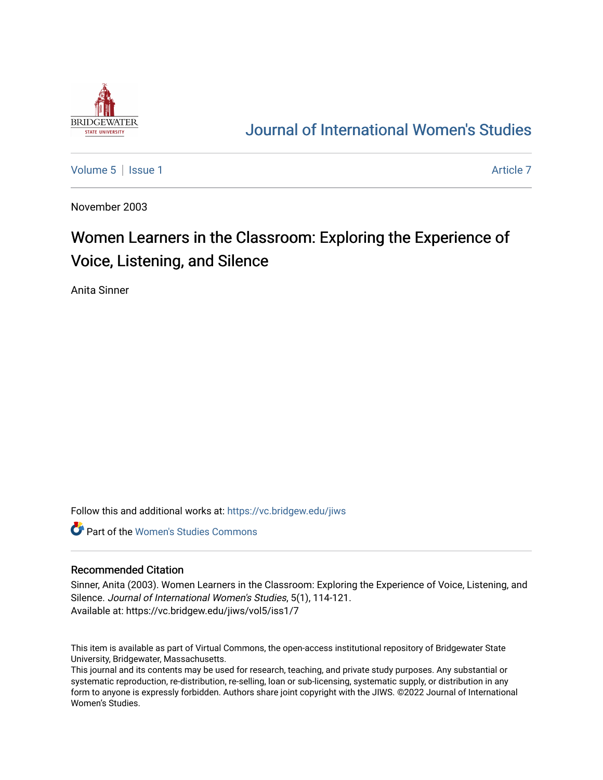

## [Journal of International Women's Studies](https://vc.bridgew.edu/jiws)

[Volume 5](https://vc.bridgew.edu/jiws/vol5) | [Issue 1](https://vc.bridgew.edu/jiws/vol5/iss1) Article 7

November 2003

# Women Learners in the Classroom: Exploring the Experience of Voice, Listening, and Silence

Anita Sinner

Follow this and additional works at: [https://vc.bridgew.edu/jiws](https://vc.bridgew.edu/jiws?utm_source=vc.bridgew.edu%2Fjiws%2Fvol5%2Fiss1%2F7&utm_medium=PDF&utm_campaign=PDFCoverPages)

**C** Part of the Women's Studies Commons

#### Recommended Citation

Sinner, Anita (2003). Women Learners in the Classroom: Exploring the Experience of Voice, Listening, and Silence. Journal of International Women's Studies, 5(1), 114-121. Available at: https://vc.bridgew.edu/jiws/vol5/iss1/7

This item is available as part of Virtual Commons, the open-access institutional repository of Bridgewater State University, Bridgewater, Massachusetts.

This journal and its contents may be used for research, teaching, and private study purposes. Any substantial or systematic reproduction, re-distribution, re-selling, loan or sub-licensing, systematic supply, or distribution in any form to anyone is expressly forbidden. Authors share joint copyright with the JIWS. ©2022 Journal of International Women's Studies.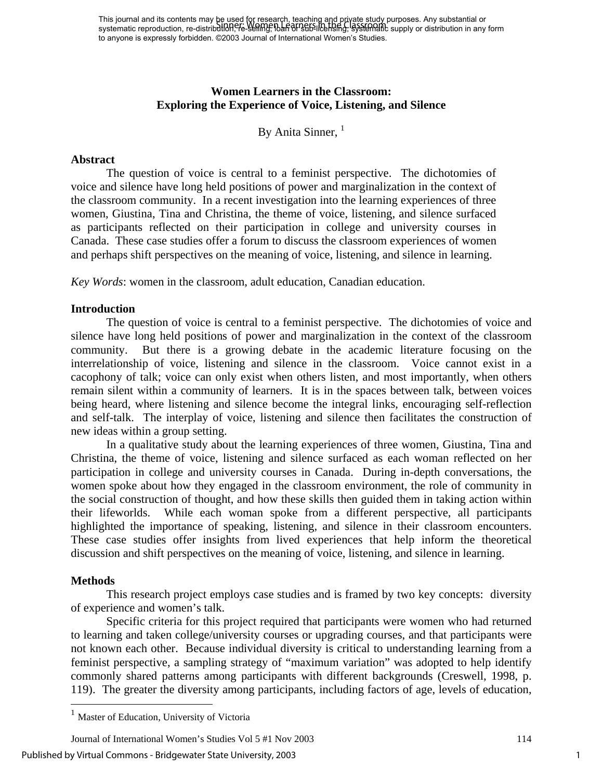This journal and its contents may be used for research, teaching and priγate study purposes. Any substantial or This journal and its contents may be used. Whissearch, reading and properties supply purposes. Any substantial or<br>systematic reproduction, re-distribution, it - Sening, idan of Babilicensing, systematic supply or distribut to anyone is expressly forbidden. ©2003 Journal of International Women's Studies.

## **Women Learners in the Classroom: Exploring the Experience of Voice, Listening, and Silence**

By Anita Sinner,  $<sup>1</sup>$ </sup>

#### **Abstract**

The question of voice is central to a feminist perspective. The dichotomies of voice and silence have long held positions of power and marginalization in the context of the classroom community. In a recent investigation into the learning experiences of three women, Giustina, Tina and Christina, the theme of voice, listening, and silence surfaced as participants reflected on their participation in college and university courses in Canada. These case studies offer a forum to discuss the classroom experiences of women and perhaps shift perspectives on the meaning of voice, listening, and silence in learning.

*Key Words*: women in the classroom, adult education, Canadian education.

#### **Introduction**

The question of voice is central to a feminist perspective. The dichotomies of voice and silence have long held positions of power and marginalization in the context of the classroom community. But there is a growing debate in the academic literature focusing on the interrelationship of voice, listening and silence in the classroom. Voice cannot exist in a cacophony of talk; voice can only exist when others listen, and most importantly, when others remain silent within a community of learners. It is in the spaces between talk, between voices being heard, where listening and silence become the integral links, encouraging self-reflection and self-talk. The interplay of voice, listening and silence then facilitates the construction of new ideas within a group setting.

In a qualitative study about the learning experiences of three women, Giustina, Tina and Christina, the theme of voice, listening and silence surfaced as each woman reflected on her participation in college and university courses in Canada. During in-depth conversations, the women spoke about how they engaged in the classroom environment, the role of community in the social construction of thought, and how these skills then guided them in taking action within their lifeworlds. While each woman spoke from a different perspective, all participants highlighted the importance of speaking, listening, and silence in their classroom encounters. These case studies offer insights from lived experiences that help inform the theoretical discussion and shift perspectives on the meaning of voice, listening, and silence in learning.

#### **Methods**

 $\overline{a}$ 

This research project employs case studies and is framed by two key concepts: diversity of experience and women's talk.

Specific criteria for this project required that participants were women who had returned to learning and taken college/university courses or upgrading courses, and that participants were not known each other. Because individual diversity is critical to understanding learning from a feminist perspective, a sampling strategy of "maximum variation" was adopted to help identify commonly shared patterns among participants with different backgrounds (Creswell, 1998, p. 119). The greater the diversity among participants, including factors of age, levels of education,

Journal of International Women's Studies Vol 5 #1 Nov 2003 114

Published by Virtual Commons - Bridgewater State University, 2003

<span id="page-1-0"></span><sup>&</sup>lt;sup>1</sup> Master of Education, University of Victoria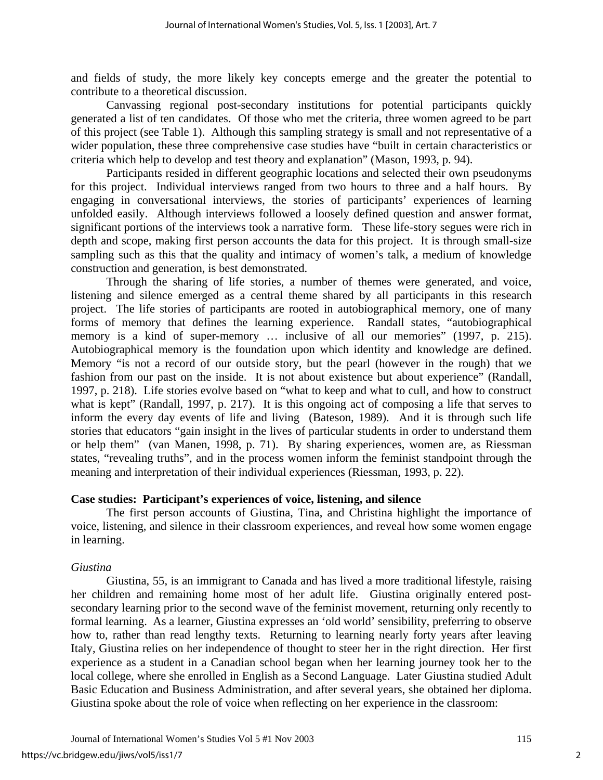and fields of study, the more likely key concepts emerge and the greater the potential to contribute to a theoretical discussion.

Canvassing regional post-secondary institutions for potential participants quickly generated a list of ten candidates. Of those who met the criteria, three women agreed to be part of this project (see Table 1). Although this sampling strategy is small and not representative of a wider population, these three comprehensive case studies have "built in certain characteristics or criteria which help to develop and test theory and explanation" (Mason, 1993, p. 94).

Participants resided in different geographic locations and selected their own pseudonyms for this project. Individual interviews ranged from two hours to three and a half hours. By engaging in conversational interviews, the stories of participants' experiences of learning unfolded easily. Although interviews followed a loosely defined question and answer format, significant portions of the interviews took a narrative form. These life-story segues were rich in depth and scope, making first person accounts the data for this project. It is through small-size sampling such as this that the quality and intimacy of women's talk, a medium of knowledge construction and generation, is best demonstrated.

Through the sharing of life stories, a number of themes were generated, and voice, listening and silence emerged as a central theme shared by all participants in this research project. The life stories of participants are rooted in autobiographical memory, one of many forms of memory that defines the learning experience. Randall states, "autobiographical memory is a kind of super-memory ... inclusive of all our memories" (1997, p. 215). Autobiographical memory is the foundation upon which identity and knowledge are defined. Memory "is not a record of our outside story, but the pearl (however in the rough) that we fashion from our past on the inside. It is not about existence but about experience" (Randall, 1997, p. 218). Life stories evolve based on "what to keep and what to cull, and how to construct what is kept" (Randall, 1997, p. 217). It is this ongoing act of composing a life that serves to inform the every day events of life and living (Bateson, 1989). And it is through such life stories that educators "gain insight in the lives of particular students in order to understand them or help them" (van Manen, 1998, p. 71). By sharing experiences, women are, as Riessman states, "revealing truths", and in the process women inform the feminist standpoint through the meaning and interpretation of their individual experiences (Riessman, 1993, p. 22).

## **Case studies: Participant's experiences of voice, listening, and silence**

The first person accounts of Giustina, Tina, and Christina highlight the importance of voice, listening, and silence in their classroom experiences, and reveal how some women engage in learning.

## *Giustina*

Giustina, 55, is an immigrant to Canada and has lived a more traditional lifestyle, raising her children and remaining home most of her adult life. Giustina originally entered postsecondary learning prior to the second wave of the feminist movement, returning only recently to formal learning. As a learner, Giustina expresses an 'old world' sensibility, preferring to observe how to, rather than read lengthy texts. Returning to learning nearly forty years after leaving Italy, Giustina relies on her independence of thought to steer her in the right direction. Her first experience as a student in a Canadian school began when her learning journey took her to the local college, where she enrolled in English as a Second Language. Later Giustina studied Adult Basic Education and Business Administration, and after several years, she obtained her diploma. Giustina spoke about the role of voice when reflecting on her experience in the classroom: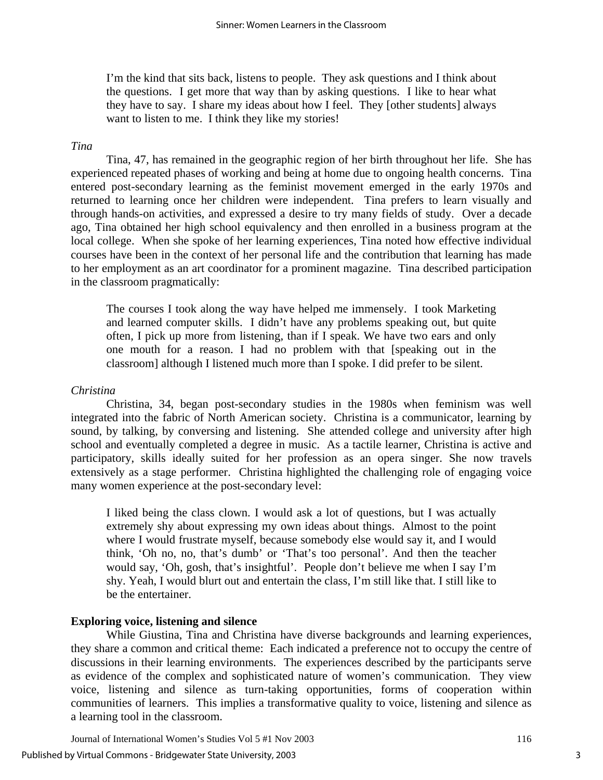I'm the kind that sits back, listens to people. They ask questions and I think about the questions. I get more that way than by asking questions. I like to hear what they have to say. I share my ideas about how I feel. They [other students] always want to listen to me. I think they like my stories!

#### *Tina*

Tina, 47, has remained in the geographic region of her birth throughout her life. She has experienced repeated phases of working and being at home due to ongoing health concerns. Tina entered post-secondary learning as the feminist movement emerged in the early 1970s and returned to learning once her children were independent. Tina prefers to learn visually and through hands-on activities, and expressed a desire to try many fields of study. Over a decade ago, Tina obtained her high school equivalency and then enrolled in a business program at the local college. When she spoke of her learning experiences, Tina noted how effective individual courses have been in the context of her personal life and the contribution that learning has made to her employment as an art coordinator for a prominent magazine. Tina described participation in the classroom pragmatically:

The courses I took along the way have helped me immensely. I took Marketing and learned computer skills. I didn't have any problems speaking out, but quite often, I pick up more from listening, than if I speak. We have two ears and only one mouth for a reason. I had no problem with that [speaking out in the classroom] although I listened much more than I spoke. I did prefer to be silent.

#### *Christina*

Christina, 34, began post-secondary studies in the 1980s when feminism was well integrated into the fabric of North American society. Christina is a communicator, learning by sound, by talking, by conversing and listening. She attended college and university after high school and eventually completed a degree in music. As a tactile learner, Christina is active and participatory, skills ideally suited for her profession as an opera singer. She now travels extensively as a stage performer. Christina highlighted the challenging role of engaging voice many women experience at the post-secondary level:

I liked being the class clown. I would ask a lot of questions, but I was actually extremely shy about expressing my own ideas about things. Almost to the point where I would frustrate myself, because somebody else would say it, and I would think, 'Oh no, no, that's dumb' or 'That's too personal'. And then the teacher would say, 'Oh, gosh, that's insightful'. People don't believe me when I say I'm shy. Yeah, I would blurt out and entertain the class, I'm still like that. I still like to be the entertainer.

## **Exploring voice, listening and silence**

While Giustina, Tina and Christina have diverse backgrounds and learning experiences, they share a common and critical theme: Each indicated a preference not to occupy the centre of discussions in their learning environments. The experiences described by the participants serve as evidence of the complex and sophisticated nature of women's communication. They view voice, listening and silence as turn-taking opportunities, forms of cooperation within communities of learners. This implies a transformative quality to voice, listening and silence as a learning tool in the classroom.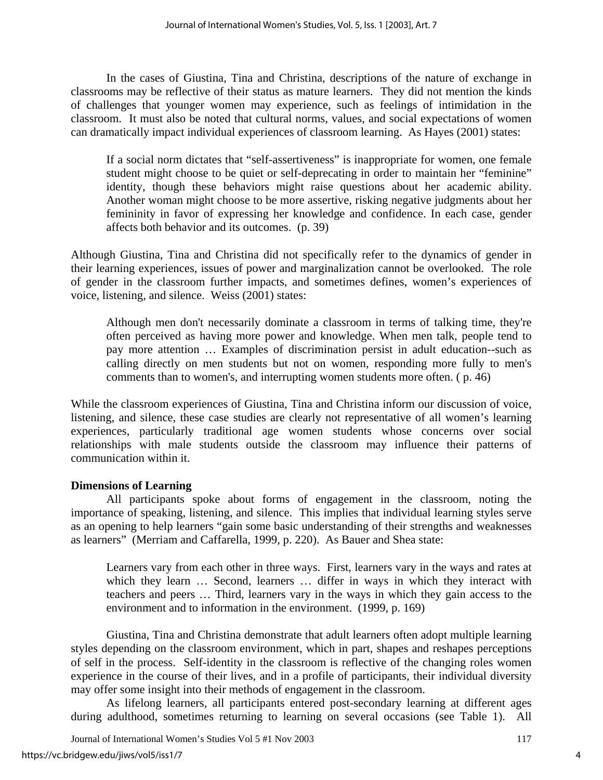In the cases of Giustina, Tina and Christina, descriptions of the nature of exchange in classrooms may be reflective of their status as mature learners. They did not mention the kinds of challenges that younger women may experience, such as feelings of intimidation in the classroom. It must also be noted that cultural norms, values, and social expectations of women can dramatically impact individual experiences of classroom learning. As Hayes (2001) states:

If a social norm dictates that "self-assertiveness" is inappropriate for women, one female student might choose to be quiet or self-deprecating in order to maintain her "feminine" identity, though these behaviors might raise questions about her academic ability. Another woman might choose to be more assertive, risking negative judgments about her femininity in favor of expressing her knowledge and confidence. In each case, gender affects both behavior and its outcomes. (p. 39)

Although Giustina, Tina and Christina did not specifically refer to the dynamics of gender in their learning experiences, issues of power and marginalization cannot be overlooked. The role of gender in the classroom further impacts, and sometimes defines, women's experiences of voice, listening, and silence. Weiss (2001) states:

Although men don't necessarily dominate a classroom in terms of talking time, they're often perceived as having more power and knowledge. When men talk, people tend to pay more attention … Examples of discrimination persist in adult education--such as calling directly on men students but not on women, responding more fully to men's comments than to women's, and interrupting women students more often. ( p. 46)

While the classroom experiences of Giustina, Tina and Christina inform our discussion of voice, listening, and silence, these case studies are clearly not representative of all women's learning experiences, particularly traditional age women students whose concerns over social relationships with male students outside the classroom may influence their patterns of communication within it.

## **Dimensions of Learning**

All participants spoke about forms of engagement in the classroom, noting the importance of speaking, listening, and silence. This implies that individual learning styles serve as an opening to help learners "gain some basic understanding of their strengths and weaknesses as learners" (Merriam and Caffarella, 1999, p. 220). As Bauer and Shea state:

Learners vary from each other in three ways. First, learners vary in the ways and rates at which they learn ... Second, learners ... differ in ways in which they interact with teachers and peers … Third, learners vary in the ways in which they gain access to the environment and to information in the environment. (1999, p. 169)

Giustina, Tina and Christina demonstrate that adult learners often adopt multiple learning styles depending on the classroom environment, which in part, shapes and reshapes perceptions of self in the process. Self-identity in the classroom is reflective of the changing roles women experience in the course of their lives, and in a profile of participants, their individual diversity may offer some insight into their methods of engagement in the classroom.

As lifelong learners, all participants entered post-secondary learning at different ages during adulthood, sometimes returning to learning on several occasions (see Table 1). All

Journal of International Women's Studies Vol 5 #1 Nov 2003 117

4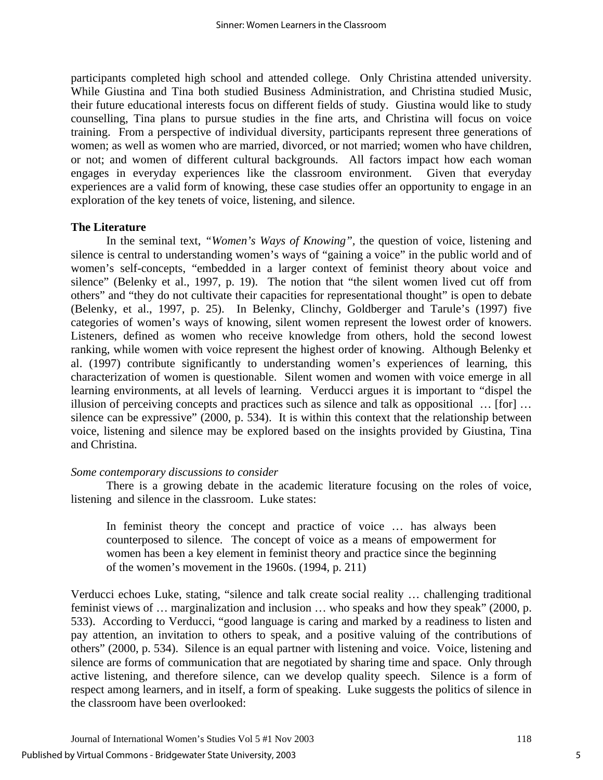participants completed high school and attended college. Only Christina attended university. While Giustina and Tina both studied Business Administration, and Christina studied Music, their future educational interests focus on different fields of study. Giustina would like to study counselling, Tina plans to pursue studies in the fine arts, and Christina will focus on voice training. From a perspective of individual diversity, participants represent three generations of women; as well as women who are married, divorced, or not married; women who have children, or not; and women of different cultural backgrounds. All factors impact how each woman engages in everyday experiences like the classroom environment. Given that everyday experiences are a valid form of knowing, these case studies offer an opportunity to engage in an exploration of the key tenets of voice, listening, and silence.

#### **The Literature**

In the seminal text, *"Women's Ways of Knowing",* the question of voice, listening and silence is central to understanding women's ways of "gaining a voice" in the public world and of women's self-concepts, "embedded in a larger context of feminist theory about voice and silence" (Belenky et al., 1997, p. 19). The notion that "the silent women lived cut off from others" and "they do not cultivate their capacities for representational thought" is open to debate (Belenky, et al., 1997, p. 25). In Belenky, Clinchy, Goldberger and Tarule's (1997) five categories of women's ways of knowing, silent women represent the lowest order of knowers. Listeners, defined as women who receive knowledge from others, hold the second lowest ranking, while women with voice represent the highest order of knowing. Although Belenky et al. (1997) contribute significantly to understanding women's experiences of learning, this characterization of women is questionable. Silent women and women with voice emerge in all learning environments, at all levels of learning. Verducci argues it is important to "dispel the illusion of perceiving concepts and practices such as silence and talk as oppositional … [for] … silence can be expressive" (2000, p. 534). It is within this context that the relationship between voice, listening and silence may be explored based on the insights provided by Giustina, Tina and Christina.

#### *Some contemporary discussions to consider*

There is a growing debate in the academic literature focusing on the roles of voice, listening and silence in the classroom. Luke states:

In feminist theory the concept and practice of voice … has always been counterposed to silence. The concept of voice as a means of empowerment for women has been a key element in feminist theory and practice since the beginning of the women's movement in the 1960s. (1994, p. 211)

Verducci echoes Luke, stating, "silence and talk create social reality … challenging traditional feminist views of … marginalization and inclusion … who speaks and how they speak" (2000, p. 533). According to Verducci, "good language is caring and marked by a readiness to listen and pay attention, an invitation to others to speak, and a positive valuing of the contributions of others" (2000, p. 534). Silence is an equal partner with listening and voice. Voice, listening and silence are forms of communication that are negotiated by sharing time and space. Only through active listening, and therefore silence, can we develop quality speech. Silence is a form of respect among learners, and in itself, a form of speaking. Luke suggests the politics of silence in the classroom have been overlooked: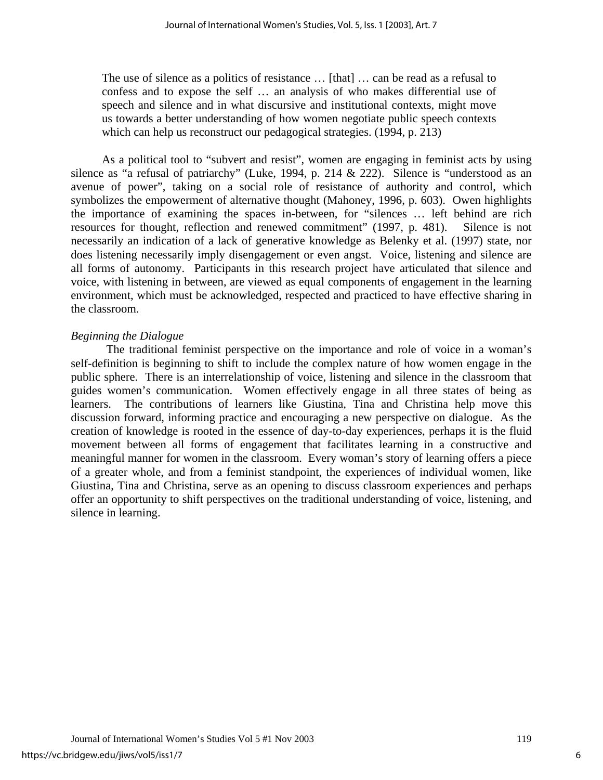The use of silence as a politics of resistance … [that] … can be read as a refusal to confess and to expose the self … an analysis of who makes differential use of speech and silence and in what discursive and institutional contexts, might move us towards a better understanding of how women negotiate public speech contexts which can help us reconstruct our pedagogical strategies. (1994, p. 213)

As a political tool to "subvert and resist", women are engaging in feminist acts by using silence as "a refusal of patriarchy" (Luke, 1994, p. 214 & 222). Silence is "understood as an avenue of power", taking on a social role of resistance of authority and control, which symbolizes the empowerment of alternative thought (Mahoney, 1996, p. 603). Owen highlights the importance of examining the spaces in-between, for "silences … left behind are rich resources for thought, reflection and renewed commitment" (1997, p. 481). Silence is not necessarily an indication of a lack of generative knowledge as Belenky et al. (1997) state, nor does listening necessarily imply disengagement or even angst. Voice, listening and silence are all forms of autonomy. Participants in this research project have articulated that silence and voice, with listening in between, are viewed as equal components of engagement in the learning environment, which must be acknowledged, respected and practiced to have effective sharing in the classroom.

## *Beginning the Dialogue*

 The traditional feminist perspective on the importance and role of voice in a woman's self-definition is beginning to shift to include the complex nature of how women engage in the public sphere. There is an interrelationship of voice, listening and silence in the classroom that guides women's communication. Women effectively engage in all three states of being as learners. The contributions of learners like Giustina, Tina and Christina help move this discussion forward, informing practice and encouraging a new perspective on dialogue. As the creation of knowledge is rooted in the essence of day-to-day experiences, perhaps it is the fluid movement between all forms of engagement that facilitates learning in a constructive and meaningful manner for women in the classroom. Every woman's story of learning offers a piece of a greater whole, and from a feminist standpoint, the experiences of individual women, like Giustina, Tina and Christina, serve as an opening to discuss classroom experiences and perhaps offer an opportunity to shift perspectives on the traditional understanding of voice, listening, and silence in learning.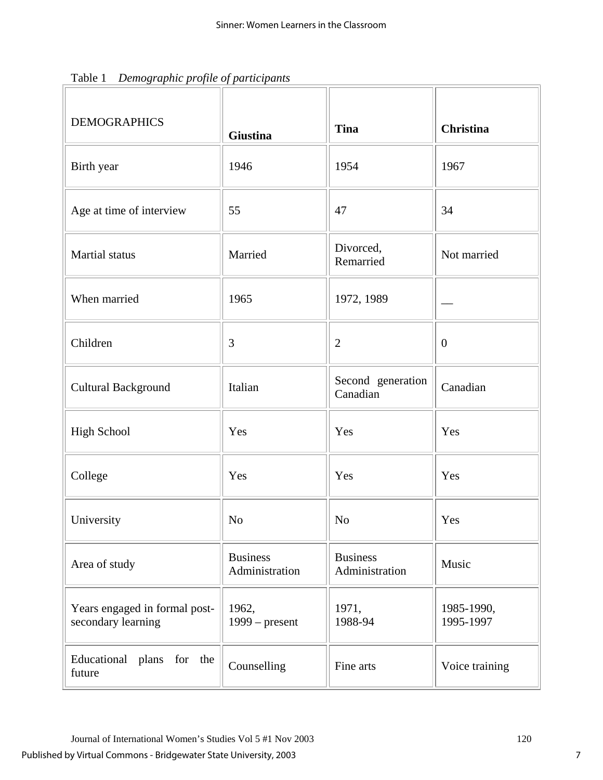| $\cdots$ $\circ$ $\cdots$ $\cdots$ $\circ$ $\circ$ $\cdots$ $\circ$ $\circ$ $\circ$ $\cdots$ $\cdots$ $\cdots$ $\cdots$<br><b>DEMOGRAPHICS</b> | <b>Giustina</b>                   | <b>Tina</b>                       | Christina               |
|------------------------------------------------------------------------------------------------------------------------------------------------|-----------------------------------|-----------------------------------|-------------------------|
| Birth year                                                                                                                                     | 1946                              | 1954                              | 1967                    |
| Age at time of interview                                                                                                                       | 55                                | 47                                | 34                      |
| Martial status                                                                                                                                 | Married                           | Divorced,<br>Remarried            | Not married             |
| When married                                                                                                                                   | 1965                              | 1972, 1989                        |                         |
| Children                                                                                                                                       | 3                                 | $\overline{2}$                    | $\overline{0}$          |
| <b>Cultural Background</b>                                                                                                                     | Italian                           | Second generation<br>Canadian     | Canadian                |
| High School                                                                                                                                    | Yes                               | Yes                               | Yes                     |
| College                                                                                                                                        | Yes                               | Yes                               | Yes                     |
| University                                                                                                                                     | No                                | No                                | Yes                     |
| Area of study                                                                                                                                  | <b>Business</b><br>Administration | <b>Business</b><br>Administration | Music                   |
| Years engaged in formal post-<br>secondary learning                                                                                            | 1962,<br>$1999$ – present         | 1971,<br>1988-94                  | 1985-1990,<br>1995-1997 |
| Educational plans for the<br>future                                                                                                            | Counselling                       | Fine arts                         | Voice training          |

Table 1 *Demographic profile of participants*

 $\overline{r}$